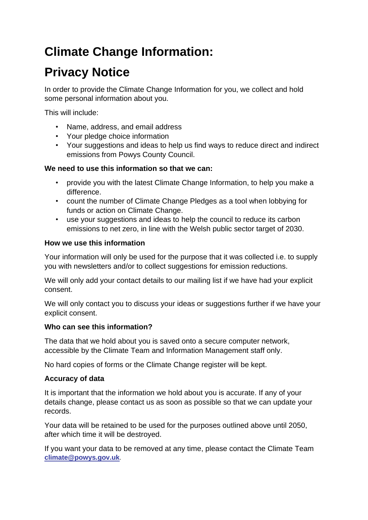# **Climate Change Information:**

## **Privacy Notice**

In order to provide the Climate Change Information for you, we collect and hold some personal information about you.

This will include:

- Name, address, and email address
- Your pledge choice information
- Your suggestions and ideas to help us find ways to reduce direct and indirect emissions from Powys County Council.

#### **We need to use this information so that we can:**

- provide you with the latest Climate Change Information, to help you make a difference.
- count the number of Climate Change Pledges as a tool when lobbying for funds or action on Climate Change.
- use your suggestions and ideas to help the council to reduce its carbon emissions to net zero, in line with the Welsh public sector target of 2030.

#### **How we use this information**

Your information will only be used for the purpose that it was collected i.e. to supply you with newsletters and/or to collect suggestions for emission reductions.

We will only add your contact details to our mailing list if we have had your explicit consent.

We will only contact you to discuss your ideas or suggestions further if we have your explicit consent.

### **Who can see this information?**

The data that we hold about you is saved onto a secure computer network, accessible by the Climate Team and Information Management staff only.

No hard copies of forms or the Climate Change register will be kept.

### **Accuracy of data**

It is important that the information we hold about you is accurate. If any of your details change, please contact us as soon as possible so that we can update your records.

Your data will be retained to be used for the purposes outlined above until 2050, after which time it will be destroyed.

If you want your data to be removed at any time, please contact the Climate Team **[climate@powys.gov.uk](mailto:climate@powys.gov.uk)**.